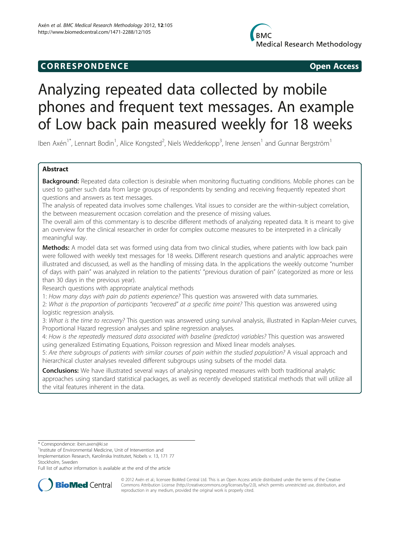## **CORRESPONDENCE CORRESPONDENCE**

# Analyzing repeated data collected by mobile phones and frequent text messages. An example of Low back pain measured weekly for 18 weeks

Iben Axén<sup>1\*</sup>, Lennart Bodin<sup>1</sup>, Alice Kongsted<sup>2</sup>, Niels Wedderkopp<sup>3</sup>, Irene Jensen<sup>1</sup> and Gunnar Bergström<sup>1</sup>

## Abstract

Background: Repeated data collection is desirable when monitoring fluctuating conditions. Mobile phones can be used to gather such data from large groups of respondents by sending and receiving frequently repeated short questions and answers as text messages.

The analysis of repeated data involves some challenges. Vital issues to consider are the within-subject correlation, the between measurement occasion correlation and the presence of missing values.

The overall aim of this commentary is to describe different methods of analyzing repeated data. It is meant to give an overview for the clinical researcher in order for complex outcome measures to be interpreted in a clinically meaningful way.

Methods: A model data set was formed using data from two clinical studies, where patients with low back pain were followed with weekly text messages for 18 weeks. Different research questions and analytic approaches were illustrated and discussed, as well as the handling of missing data. In the applications the weekly outcome "number of days with pain" was analyzed in relation to the patients' "previous duration of pain" (categorized as more or less than 30 days in the previous year).

Research questions with appropriate analytical methods

1: How many days with pain do patients experience? This question was answered with data summaries.

2: What is the proportion of participants "recovered" at a specific time point? This question was answered using logistic regression analysis.

3: What is the time to recovery? This question was answered using survival analysis, illustrated in Kaplan-Meier curves, Proportional Hazard regression analyses and spline regression analyses.

4: How is the repeatedly measured data associated with baseline (predictor) variables? This question was answered using generalized Estimating Equations, Poisson regression and Mixed linear models analyses.

5: Are there subgroups of patients with similar courses of pain within the studied population? A visual approach and hierarchical cluster analyses revealed different subgroups using subsets of the model data.

**Conclusions:** We have illustrated several ways of analysing repeated measures with both traditional analytic approaches using standard statistical packages, as well as recently developed statistical methods that will utilize all the vital features inherent in the data.

Full list of author information is available at the end of the article



© 2012 Axén et al.; licensee BioMed Central Ltd. This is an Open Access article distributed under the terms of the Creative Commons Attribution License [\(http://creativecommons.org/licenses/by/2.0\)](http://creativecommons.org/licenses/by/2.0), which permits unrestricted use, distribution, and reproduction in any medium, provided the original work is properly cited.

<sup>\*</sup> Correspondence: [iben.axen@ki.se](mailto:iben.axen@ki.se) <sup>1</sup>

<sup>&</sup>lt;sup>1</sup>Institute of Environmental Medicine, Unit of Intervention and Implementation Research, Karolinska Institutet, Nobels v. 13, 171 77

Stockholm, Sweden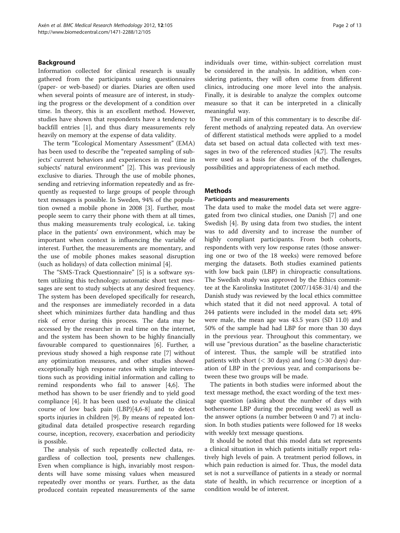## Background

Information collected for clinical research is usually gathered from the participants using questionnaires (paper- or web-based) or diaries. Diaries are often used when several points of measure are of interest, in studying the progress or the development of a condition over time. In theory, this is an excellent method. However, studies have shown that respondents have a tendency to backfill entries [\[1\]](#page-11-0), and thus diary measurements rely heavily on memory at the expense of data validity.

The term "Ecological Momentary Assessment" (EMA) has been used to describe the "repeated sampling of subjects' current behaviors and experiences in real time in subjects' natural environment" [\[2](#page-11-0)]. This was previously exclusive to diaries. Through the use of mobile phones, sending and retrieving information repeatedly and as frequently as requested to large groups of people through text messages is possible. In Sweden, 94% of the population owned a mobile phone in 2008 [\[3](#page-11-0)]. Further, most people seem to carry their phone with them at all times, thus making measurements truly ecological, i.e. taking place in the patients' own environment, which may be important when context is influencing the variable of interest. Further, the measurements are momentary, and the use of mobile phones makes seasonal disruption (such as holidays) of data collection minimal [[4\]](#page-11-0).

The "SMS-Track Questionnaire" [[5\]](#page-11-0) is a software system utilizing this technology; automatic short text messages are sent to study subjects at any desired frequency. The system has been developed specifically for research, and the responses are immediately recorded in a data sheet which minimizes further data handling and thus risk of error during this process. The data may be accessed by the researcher in real time on the internet, and the system has been shown to be highly financially favourable compared to questionnaires [[6\]](#page-11-0). Further, a previous study showed a high response rate [\[7](#page-11-0)] without any optimization measures, and other studies showed exceptionally high response rates with simple interventions such as providing initial information and calling to remind respondents who fail to answer [[4,6\]](#page-11-0). The method has shown to be user friendly and to yield good compliance [\[4\]](#page-11-0). It has been used to evaluate the clinical course of low back pain (LBP)[[4,6-8](#page-11-0)] and to detect sports injuries in children [[9\]](#page-11-0). By means of repeated longitudinal data detailed prospective research regarding course, inception, recovery, exacerbation and periodicity is possible.

The analysis of such repeatedly collected data, regardless of collection tool, presents new challenges. Even when compliance is high, invariably most respondents will have some missing values when measured repeatedly over months or years. Further, as the data produced contain repeated measurements of the same individuals over time, within-subject correlation must be considered in the analysis. In addition, when considering patients, they will often come from different clinics, introducing one more level into the analysis. Finally, it is desirable to analyze the complex outcome measure so that it can be interpreted in a clinically meaningful way.

The overall aim of this commentary is to describe different methods of analyzing repeated data. An overview of different statistical methods were applied to a model data set based on actual data collected with text messages in two of the referenced studies [[4,7\]](#page-11-0). The results were used as a basis for discussion of the challenges, possibilities and appropriateness of each method.

## **Methods**

## Participants and measurements

The data used to make the model data set were aggregated from two clinical studies, one Danish [\[7](#page-11-0)] and one Swedish [[4\]](#page-11-0). By using data from two studies, the intent was to add diversity and to increase the number of highly compliant participants. From both cohorts, respondents with very low response rates (those answering one or two of the 18 weeks) were removed before merging the datasets. Both studies examined patients with low back pain (LBP) in chiropractic consultations. The Swedish study was approved by the Ethics committee at the Karolinska Institutet (2007/1458-31/4) and the Danish study was reviewed by the local ethics committee which stated that it did not need approval. A total of 244 patients were included in the model data set; 49% were male, the mean age was 43.5 years (SD 11.0) and 50% of the sample had had LBP for more than 30 days in the previous year. Throughout this commentary, we will use "previous duration" as the baseline characteristic of interest. Thus, the sample will be stratified into patients with short ( $<$  30 days) and long ( $>$ 30 days) duration of LBP in the previous year, and comparisons between these two groups will be made.

The patients in both studies were informed about the text message method, the exact wording of the text message question (asking about the number of days with bothersome LBP during the preceding week) as well as the answer options (a number between 0 and 7) at inclusion. In both studies patients were followed for 18 weeks with weekly text message questions.

It should be noted that this model data set represents a clinical situation in which patients initially report relatively high levels of pain. A treatment period follows, in which pain reduction is aimed for. Thus, the model data set is not a surveillance of patients in a steady or normal state of health, in which recurrence or inception of a condition would be of interest.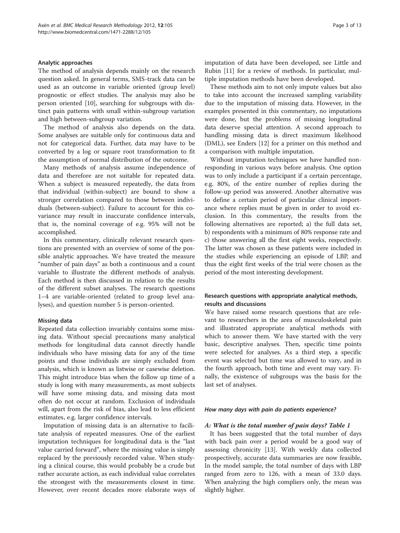#### Analytic approaches

The method of analysis depends mainly on the research question asked. In general terms, SMS-track data can be used as an outcome in variable oriented (group level) prognostic or effect studies. The analysis may also be person oriented [[10](#page-12-0)], searching for subgroups with distinct pain patterns with small within-subgroup variation and high between-subgroup variation.

The method of analysis also depends on the data. Some analyses are suitable only for continuous data and not for categorical data. Further, data may have to be converted by a log or square root transformation to fit the assumption of normal distribution of the outcome.

Many methods of analysis assume independence of data and therefore are not suitable for repeated data. When a subject is measured repeatedly, the data from that individual (within-subject) are bound to show a stronger correlation compared to those between individuals (between-subject). Failure to account for this covariance may result in inaccurate confidence intervals, that is, the nominal coverage of e.g. 95% will not be accomplished.

In this commentary, clinically relevant research questions are presented with an overview of some of the possible analytic approaches. We have treated the measure "number of pain days" as both a continuous and a count variable to illustrate the different methods of analysis. Each method is then discussed in relation to the results of the different subset analyses. The research questions 1–4 are variable-oriented (related to group level analyses), and question number 5 is person-oriented.

#### Missing data

Repeated data collection invariably contains some missing data. Without special precautions many analytical methods for longitudinal data cannot directly handle individuals who have missing data for any of the time points and those individuals are simply excluded from analysis, which is known as listwise or casewise deletion. This might introduce bias when the follow up time of a study is long with many measurements, as most subjects will have some missing data, and missing data most often do not occur at random. Exclusion of individuals will, apart from the risk of bias, also lead to less efficient estimates, e.g. larger confidence intervals.

Imputation of missing data is an alternative to facilitate analysis of repeated measures. One of the earliest imputation techniques for longitudinal data is the "last value carried forward", where the missing value is simply replaced by the previously recorded value. When studying a clinical course, this would probably be a crude but rather accurate action, as each individual value correlates the strongest with the measurements closest in time. However, over recent decades more elaborate ways of imputation of data have been developed, see Little and Rubin [\[11](#page-12-0)] for a review of methods. In particular, multiple imputation methods have been developed.

These methods aim to not only impute values but also to take into account the increased sampling variability due to the imputation of missing data. However, in the examples presented in this commentary, no imputations were done, but the problems of missing longitudinal data deserve special attention. A second approach to handling missing data is direct maximum likelihood (DML), see Enders [\[12](#page-12-0)] for a primer on this method and a comparison with multiple imputation.

Without imputation techniques we have handled nonresponding in various ways before analysis. One option was to only include a participant if a certain percentage, e.g. 80%, of the entire number of replies during the follow-up period was answered. Another alternative was to define a certain period of particular clinical importance where replies must be given in order to avoid exclusion. In this commentary, the results from the following alternatives are reported; a) the full data set, b) respondents with a minimum of 80% response rate and c) those answering all the first eight weeks, respectively. The latter was chosen as these patients were included in the studies while experiencing an episode of LBP, and thus the eight first weeks of the trial were chosen as the period of the most interesting development.

## Research questions with appropriate analytical methods, results and discussions

We have raised some research questions that are relevant to researchers in the area of musculoskeletal pain and illustrated appropriate analytical methods with which to answer them. We have started with the very basic, descriptive analyses. Then, specific time points were selected for analyses. As a third step, a specific event was selected but time was allowed to vary, and in the fourth approach, both time and event may vary. Finally, the existence of subgroups was the basis for the last set of analyses.

#### How many days with pain do patients experience?

#### A: What is the total number of pain days? Table [1](#page-3-0)

It has been suggested that the total number of days with back pain over a period would be a good way of assessing chronicity [[13](#page-12-0)]. With weekly data collected prospectively, accurate data summaries are now feasible. In the model sample, the total number of days with LBP ranged from zero to 126, with a mean of 33.0 days. When analyzing the high compliers only, the mean was slightly higher.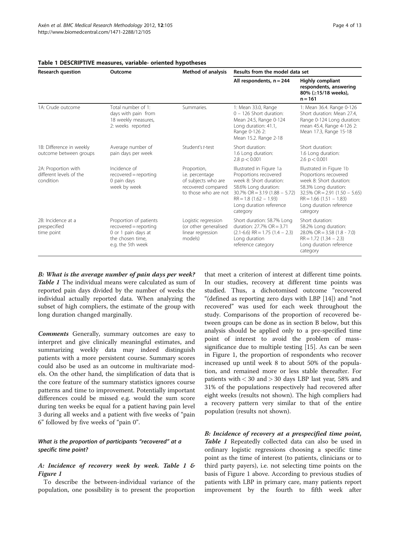| Research question                                           | Outcome                                                                                                           | <b>Method of analysis</b>                                                                           | Results from the model data set                                                                                                                                                                             |                                                                                                                                                                                                              |  |
|-------------------------------------------------------------|-------------------------------------------------------------------------------------------------------------------|-----------------------------------------------------------------------------------------------------|-------------------------------------------------------------------------------------------------------------------------------------------------------------------------------------------------------------|--------------------------------------------------------------------------------------------------------------------------------------------------------------------------------------------------------------|--|
|                                                             |                                                                                                                   |                                                                                                     | All respondents, $n = 244$                                                                                                                                                                                  | <b>Highly compliant</b><br>respondents, answering<br>80% (≥15/18 weeks),<br>$n = 161$                                                                                                                        |  |
| 1A: Crude outcome                                           | Total number of 1:<br>days with pain from<br>18 weekly measures,<br>2: weeks reported                             | Summaries.                                                                                          | 1: Mean 33.0, Range<br>$0 - 126$ Short duration:<br>Mean 24.5, Range 0-124<br>Long duration: 41.1,<br>Range 0-126 2:<br>Mean 15.2. Range 2-18                                                               | 1: Mean 36.4. Range 0-126<br>Short duration: Mean 27.4,<br>Range 0-124 Long duration:<br>mean 45.4, Range 4-126 2:<br>Mean 17.3, Range 15-18                                                                 |  |
| 1B: Difference in weekly<br>outcome between groups          | Average number of<br>pain days per week                                                                           | Student's t-test                                                                                    | Short duration:<br>1.6 Long duration:<br>2.8 p < 0.001                                                                                                                                                      | Short duration:<br>1.6 Long duration:<br>$2.6 \text{ p} < 0.001$                                                                                                                                             |  |
| 2A: Proportion with<br>different levels of the<br>condition | Incidence of<br>$recovered = reporting$<br>0 pain days<br>week by week                                            | Proportion,<br>i.e. percentage<br>of subjects who are<br>recovered compared<br>to those who are not | Illustrated in Figure 1a<br>Proportions recovered<br>week 8: Short duration:<br>58.6% Long duration:<br>$30.7\%$ OR = 3.19 (1.88 - 5.72)<br>$RR = 1.8$ (1.62 - 1.93)<br>Long duration reference<br>category | Illustrated in Figure 1b<br>Proportions recovered<br>week 8: Short duration:<br>58.3% Long duration:<br>$32.5\%$ OR = 2.91 (1.50 - 5.65)<br>$RR = 1.66$ (1.51 - 1.83)<br>Long duration reference<br>category |  |
| 2B: Incidence at a<br>prespecified<br>time point            | Proportion of patients<br>$recovered = reporting$<br>0 or 1 pain days at<br>the chosen time,<br>e.g. the 5th week | Logistic regression<br>(or other generalised<br>linear regression<br>models)                        | Short duration: 58.7% Long<br>duration: $27.7\%$ OR = 3.71<br>$(2.1-6.6)$ RR = 1.75 $(1.4 - 2.3)$<br>Long duration<br>reference category                                                                    | Short duration:<br>58.2% Long duration:<br>$28.0\%$ OR = 3.58 (1.8 - 7.0)<br>$RR = 1.72$ (1.34 – 2.3)<br>Long duration reference<br>category                                                                 |  |

#### <span id="page-3-0"></span>Table 1 DESCRIPTIVE measures, variable- oriented hypotheses

B: What is the average number of pain days per week? Table 1 The individual means were calculated as sum of reported pain days divided by the number of weeks the individual actually reported data. When analyzing the subset of high compliers, the estimate of the group with long duration changed marginally.

Comments Generally, summary outcomes are easy to interpret and give clinically meaningful estimates, and summarizing weekly data may indeed distinguish patients with a more persistent course. Summary scores could also be used as an outcome in multivariate models. On the other hand, the simplification of data that is the core feature of the summary statistics ignores course patterns and time to improvement. Potentially important differences could be missed e.g. would the sum score during ten weeks be equal for a patient having pain level 3 during all weeks and a patient with five weeks of "pain 6" followed by five weeks of "pain 0".

## What is the proportion of participants "recovered" at a specific time point?

## A: Incidence of recovery week by week. Table 1 & Figure [1](#page-4-0)

To describe the between-individual variance of the population, one possibility is to present the proportion that meet a criterion of interest at different time points. In our studies, recovery at different time points was studied. Thus, a dichotomised outcome "recovered "(defined as reporting zero days with LBP [[14](#page-12-0)]) and "not recovered" was used for each week throughout the study. Comparisons of the proportion of recovered between groups can be done as in section B below, but this analysis should be applied only to a pre-specified time point of interest to avoid the problem of masssignificance due to multiple testing [\[15\]](#page-12-0). As can be seen in Figure [1](#page-4-0), the proportion of respondents who recover increased up until week 8 to about 50% of the population, and remained more or less stable thereafter. For patients with < 30 and > 30 days LBP last year, 58% and 31% of the populations respectively had recovered after eight weeks (results not shown). The high compliers had a recovery pattern very similar to that of the entire population (results not shown).

B: Incidence of recovery at a prespecified time point, **Table 1** Repeatedly collected data can also be used in ordinary logistic regressions choosing a specific time point as the time of interest (to patients, clinicians or to third party payers), i.e. not selecting time points on the basis of Figure [1](#page-4-0) above. According to previous studies of patients with LBP in primary care, many patients report improvement by the fourth to fifth week after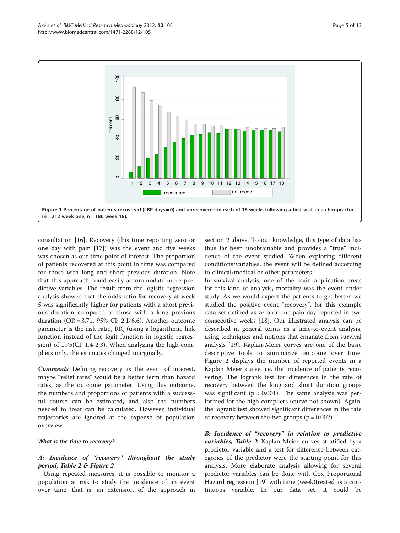<span id="page-4-0"></span>

consultation [\[16](#page-12-0)]. Recovery (this time reporting zero or one day with pain [[17\]](#page-12-0)) was the event and five weeks was chosen as our time point of interest. The proportion of patients recovered at this point in time was compared for those with long and short previous duration. Note that this approach could easily accommodate more predictive variables. The result from the logistic regression analysis showed that the odds ratio for recovery at week 5 was significantly higher for patients with a short previous duration compared to those with a long previous duration (OR = 3.71, 95% CI: 2.1-6.6). Another outcome parameter is the risk ratio, RR, (using a logarithmic link function instead of the logit function in logistic regression) of 1.75(CI: 1.4-2.3). When analyzing the high compliers only, the estimates changed marginally.

Comments Defining recovery as the event of interest, maybe "relief rates" would be a better term than hazard rates, as the outcome parameter. Using this outcome, the numbers and proportions of patients with a successful course can be estimated, and also the numbers needed to treat can be calculated. However, individual trajectories are ignored at the expense of population overview.

#### What is the time to recovery?

## A: Incidence of "recovery" throughout the study period, Table [2](#page-5-0) & Figure [2](#page-5-0)

Using repeated measures, it is possible to monitor a population at risk to study the incidence of an event over time, that is, an extension of the approach in section 2 above. To our knowledge, this type of data has thus far been unobtainable and provides a "true" incidence of the event studied. When exploring different conditions/variables, the event will be defined according to clinical/medical or other parameters.

In survival analysis, one of the main application areas for this kind of analysis, mortality was the event under study. As we would expect the patients to get better, we studied the positive event "recovery", for this example data set defined as zero or one pain day reported in two consecutive weeks [[18\]](#page-12-0). Our illustrated analysis can be described in general terms as a time-to-event analysis, using techniques and notions that emanate from survival analysis [\[19](#page-12-0)]. Kaplan-Meier curves are one of the basic descriptive tools to summarize outcome over time. Figure [2](#page-5-0) displays the number of reported events in a Kaplan Meier curve, i.e. the incidence of patients recovering. The logrank test for differences in the rate of recovery between the long and short duration groups was significant ( $p < 0.001$ ). The same analysis was performed for the high compliers (curve not shown). Again, the logrank test showed significant differences in the rate of recovery between the two groups ( $p = 0.002$ ).

B: Incidence of "recovery" in relation to predictive *variables, Table [2](#page-5-0)* Kaplan-Meier curves stratified by a predictor variable and a test for difference between categories of the predictor were the starting point for this analysis. More elaborate analysis allowing for several predictor variables can be done with Cox Proportional Hazard regression [[19\]](#page-12-0) with time (week)treated as a continuous variable. In our data set, it could be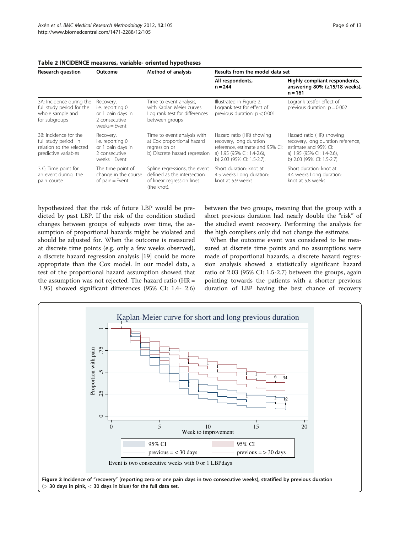| <b>Research question</b>                                                                          | Outcome                                                                                | <b>Method of analysis</b>                                                                                   | Results from the model data set                                                                                                                     |                                                                                                                                                     |  |
|---------------------------------------------------------------------------------------------------|----------------------------------------------------------------------------------------|-------------------------------------------------------------------------------------------------------------|-----------------------------------------------------------------------------------------------------------------------------------------------------|-----------------------------------------------------------------------------------------------------------------------------------------------------|--|
|                                                                                                   |                                                                                        |                                                                                                             | All respondents,<br>$n = 244$                                                                                                                       | Highly compliant respondents,<br>answering 80% ( $\geq$ 15/18 weeks),<br>$n = 161$                                                                  |  |
| 3A: Incidence during the<br>full study period for the<br>whole sample and<br>for subgroups        | Recovery,<br>i.e. reporting 0<br>or 1 pain days in<br>2 consecutive<br>$weeks = Event$ | Time to event analysis,<br>with Kaplan Meier curves.<br>Log rank test for differences<br>between groups     | Illustrated in Figure 2.<br>Logrank test for effect of<br>previous duration: $p < 0.001$                                                            | Logrank testfor effect of<br>previous duration: $p = 0.002$                                                                                         |  |
| 3B: Incidence for the<br>full study period in<br>relation to the selected<br>predictive variables | Recovery,<br>i.e. reporting 0<br>or 1 pain days in<br>2 consecutive<br>$weeks = Event$ | Time to event analysis with<br>a) Cox proportional hazard<br>regression or<br>b) Discrete hazard regression | Hazard ratio (HR) showing<br>recovery, long duration<br>reference, estimate and 95% CI:<br>a) 1.95 (95% Cl: 1.4-2.6),<br>b) 2.03 (95% CI: 1.5-2.7). | Hazard ratio (HR) showing<br>recovery, long duration reference,<br>estimate and 95% CI:<br>a) 1.95 (95% Cl: 1.4-2.6),<br>b) 2.03 (95% CI: 1.5-2.7). |  |
| 3 C: Time point for<br>an event during the<br>pain course                                         | The time point of<br>change in the course<br>of $pain = Event$                         | Spline regressions, the event<br>defined as the intersection<br>of linear regression lines<br>(the knot).   | Short duration: knot at<br>4.5 weeks Long duration:<br>knot at 5.9 weeks                                                                            | Short duration: knot at<br>4.4 weeks Long duration:<br>knot at 5.8 weeks                                                                            |  |

#### <span id="page-5-0"></span>Table 2 INCIDENCE measures, variable- oriented hypotheses

hypothesized that the risk of future LBP would be predicted by past LBP. If the risk of the condition studied changes between groups of subjects over time, the assumption of proportional hazards might be violated and should be adjusted for. When the outcome is measured at discrete time points (e.g. only a few weeks observed), a discrete hazard regression analysis [[19](#page-12-0)] could be more appropriate than the Cox model. In our model data, a test of the proportional hazard assumption showed that the assumption was not rejected. The hazard ratio (HR = 1.95) showed significant differences (95% CI: 1.4- 2.6) between the two groups, meaning that the group with a short previous duration had nearly double the "risk" of the studied event recovery. Performing the analysis for the high compliers only did not change the estimate.

When the outcome event was considered to be measured at discrete time points and no assumptions were made of proportional hazards, a discrete hazard regression analysis showed a statistically significant hazard ratio of 2.03 (95% CI: 1.5-2.7) between the groups, again pointing towards the patients with a shorter previous duration of LBP having the best chance of recovery

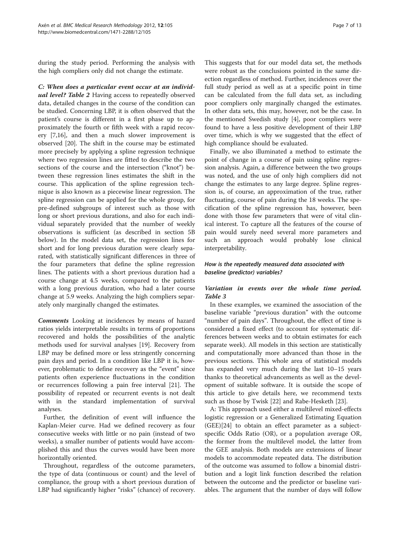during the study period. Performing the analysis with the high compliers only did not change the estimate.

C: When does a particular event occur at an individ-ual level? Table [2](#page-5-0) Having access to repeatedly observed data, detailed changes in the course of the condition can be studied. Concerning LBP, it is often observed that the patient's course is different in a first phase up to approximately the fourth or fifth week with a rapid recovery [\[7](#page-11-0)[,16](#page-12-0)], and then a much slower improvement is observed [[20\]](#page-12-0). The shift in the course may be estimated more precisely by applying a spline regression technique where two regression lines are fitted to describe the two sections of the course and the intersection ("knot") between these regression lines estimates the shift in the course. This application of the spline regression technique is also known as a piecewise linear regression. The spline regression can be applied for the whole group, for pre-defined subgroups of interest such as those with long or short previous durations, and also for each individual separately provided that the number of weekly observations is sufficient (as described in section 5B below). In the model data set, the regression lines for short and for long previous duration were clearly separated, with statistically significant differences in three of the four parameters that define the spline regression lines. The patients with a short previous duration had a course change at 4.5 weeks, compared to the patients with a long previous duration, who had a later course change at 5.9 weeks. Analyzing the high compliers separately only marginally changed the estimates.

Comments Looking at incidences by means of hazard ratios yields interpretable results in terms of proportions recovered and holds the possibilities of the analytic methods used for survival analyses [\[19](#page-12-0)]. Recovery from LBP may be defined more or less stringently concerning pain days and period. In a condition like LBP it is, however, problematic to define recovery as the "event" since patients often experience fluctuations in the condition or recurrences following a pain free interval [[21](#page-12-0)]. The possibility of repeated or recurrent events is not dealt with in the standard implementation of survival analyses.

Further, the definition of event will influence the Kaplan-Meier curve. Had we defined recovery as four consecutive weeks with little or no pain (instead of two weeks), a smaller number of patients would have accomplished this and thus the curves would have been more horizontally oriented.

Throughout, regardless of the outcome parameters, the type of data (continuous or count) and the level of compliance, the group with a short previous duration of LBP had significantly higher "risks" (chance) of recovery.

This suggests that for our model data set, the methods were robust as the conclusions pointed in the same direction regardless of method. Further, incidences over the full study period as well as at a specific point in time can be calculated from the full data set, as including poor compliers only marginally changed the estimates. In other data sets, this may, however, not be the case. In the mentioned Swedish study [[4\]](#page-11-0), poor compliers were found to have a less positive development of their LBP over time, which is why we suggested that the effect of high compliance should be evaluated.

Finally, we also illuminated a method to estimate the point of change in a course of pain using spline regression analysis. Again, a difference between the two groups was noted, and the use of only high compliers did not change the estimates to any large degree. Spline regression is, of course, an approximation of the true, rather fluctuating, course of pain during the 18 weeks. The specification of the spline regression has, however, been done with those few parameters that were of vital clinical interest. To capture all the features of the course of pain would surely need several more parameters and such an approach would probably lose clinical interpretability.

## How is the repeatedly measured data associated with baseline (predictor) variables?

## Variation in events over the whole time period. Table [3](#page-7-0)

In these examples, we examined the association of the baseline variable "previous duration" with the outcome "number of pain days". Throughout, the effect of time is considered a fixed effect (to account for systematic differences between weeks and to obtain estimates for each separate week). All models in this section are statistically and computationally more advanced than those in the previous sections. This whole area of statistical models has expanded very much during the last 10–15 years thanks to theoretical advancements as well as the development of suitable software. It is outside the scope of this article to give details here, we recommend texts such as those by Twisk [[22](#page-12-0)] and Rabe-Hesketh [[23\]](#page-12-0).

A: This approach used either a multilevel mixed-effects logistic regression or a Generalized Estimating Equation (GEE)[[24](#page-12-0)] to obtain an effect parameter as a subjectspecific Odds Ratio (OR), or a population average OR, the former from the multilevel model, the latter from the GEE analysis. Both models are extensions of linear models to accommodate repeated data. The distribution of the outcome was assumed to follow a binomial distribution and a logit link function described the relation between the outcome and the predictor or baseline variables. The argument that the number of days will follow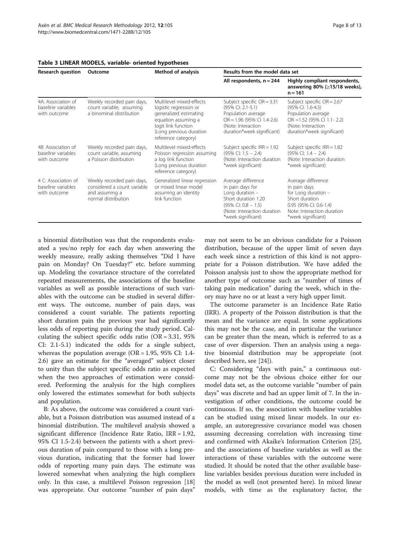| <b>Research question</b>                                  | Outcome                                                                                            | <b>Method of analysis</b>                                                                                                                                                    | Results from the model data set                                                                                                                                   |                                                                                                                                                                |  |
|-----------------------------------------------------------|----------------------------------------------------------------------------------------------------|------------------------------------------------------------------------------------------------------------------------------------------------------------------------------|-------------------------------------------------------------------------------------------------------------------------------------------------------------------|----------------------------------------------------------------------------------------------------------------------------------------------------------------|--|
|                                                           |                                                                                                    |                                                                                                                                                                              | All respondents, $n = 244$                                                                                                                                        | Highly compliant respondents,<br>answering 80% ( $\geq$ 15/18 weeks),<br>$n = 161$                                                                             |  |
| 4A: Association of<br>baseline variables<br>with outcome  | Weekly recorded pain days,<br>count variable, assuming<br>a binominal distribution                 | Multilevel mixed-effects<br>logistic regression or<br>generalized estimating<br>equation assuming a<br>logit link function<br>(Long previous duration<br>reference category) | Subject specific $OR = 3.31$<br>(95% CI: 2.1-5.1)<br>Population average<br>$OR = 1.96$ (95% CI 1.4-2.6)<br>(Note: Interaction)<br>duration*week significant)      | Subject specific $OR = 2.67$<br>$(95\%$ Cl: 1.6-4.5)<br>Population average<br>OR = 1.52 (95% CI 1.1 - 2.2)<br>(Note: Interaction<br>duration*week significant) |  |
| 4B: Association of<br>baseline variables<br>with outcome  | Weekly recorded pain days,<br>count variable, assuming<br>a Poisson distribution                   | Multilevel mixed-effects<br>Poisson regression assuming<br>a log link function<br>(Long previous duration<br>reference category)                                             | Subject specific $IRR = 1.92$<br>$(95\%$ CI: $1.5 - 2.4)$<br>(Note: Interaction duration<br>*week significant)                                                    | Subject specific $IRR = 1.82$<br>$(95\%$ CI: 1.4 - 2.4)<br>(Note: Interaction duration<br>*week significant)                                                   |  |
| 4 C: Association of<br>baseline variables<br>with outcome | Weekly recorded pain days,<br>considered a count variable<br>and assuming a<br>normal distribution | Generalized linear regression<br>or mixed linear model<br>assuming an identity<br>link function                                                                              | Average difference<br>in pain days for<br>Long duration $-$<br>Short duration 1.20<br>$(95\%$ CI: 0.8 - 1.5)<br>(Note: Interaction duration<br>*week significant) | Average difference<br>in pain days<br>for Long duration -<br>Short duration<br>0.95 (95% CI: 0.6-1.4)<br>Note: Interaction duration<br>*week significant)      |  |

<span id="page-7-0"></span>

|  |  |  | Table 3 LINEAR MODELS, variable- oriented hypotheses |  |  |  |  |
|--|--|--|------------------------------------------------------|--|--|--|--|
|--|--|--|------------------------------------------------------|--|--|--|--|

a binomial distribution was that the respondents evaluated a yes/no reply for each day when answering the weekly measure, really asking themselves "Did I have pain on Monday? On Tuesday?" etc. before summing up. Modeling the covariance structure of the correlated repeated measurements, the associations of the baseline variables as well as possible interactions of such variables with the outcome can be studied in several different ways. The outcome, number of pain days, was considered a count variable. The patients reporting short duration pain the previous year had significantly less odds of reporting pain during the study period. Calculating the subject specific odds ratio  $(OR = 3.31, 95\%)$ CI: 2.1-5.1) indicated the odds for a single subject, whereas the population average ( $OR = 1.95$ , 95% CI: 1.4-2.6) gave an estimate for the "averaged" subject closer to unity than the subject specific odds ratio as expected when the two approaches of estimation were considered. Performing the analysis for the high compliers only lowered the estimates somewhat for both subjects and population.

B: As above, the outcome was considered a count variable, but a Poisson distribution was assumed instead of a binomial distribution. The multilevel analysis showed a significant difference (Incidence Rate Ratio, IRR = 1.92, 95% CI 1.5-2.4) between the patients with a short previous duration of pain compared to those with a long previous duration, indicating that the former had lower odds of reporting many pain days. The estimate was lowered somewhat when analyzing the high compliers only. In this case, a multilevel Poisson regression [[18](#page-12-0)] was appropriate. Our outcome "number of pain days"

may not seem to be an obvious candidate for a Poisson distribution, because of the upper limit of seven days each week since a restriction of this kind is not appropriate for a Poisson distribution. We have added the Poisson analysis just to show the appropriate method for another type of outcome such as "number of times of taking pain medication" during the week, which in theory may have no or at least a very high upper limit.

The outcome parameter is an Incidence Rate Ratio (IRR). A property of the Poisson distribution is that the mean and the variance are equal. In some applications this may not be the case, and in particular the variance can be greater than the mean, which is referred to as a case of over dispersion. Then an analysis using a negative binomial distribution may be appropriate (not described here, see [[24\]](#page-12-0)).

C: Considering "days with pain," a continuous outcome may not be the obvious choice either for our model data set, as the outcome variable "number of pain days" was discrete and had an upper limit of 7. In the investigation of other conditions, the outcome could be continuous. If so, the association with baseline variables can be studied using mixed linear models. In our example, an autoregressive covariance model was chosen assuming decreasing correlation with increasing time and confirmed with Akaike's Information Criterion [\[25](#page-12-0)], and the associations of baseline variables as well as the interactions of these variables with the outcome were studied. It should be noted that the other available baseline variables besides previous duration were included in the model as well (not presented here). In mixed linear models, with time as the explanatory factor, the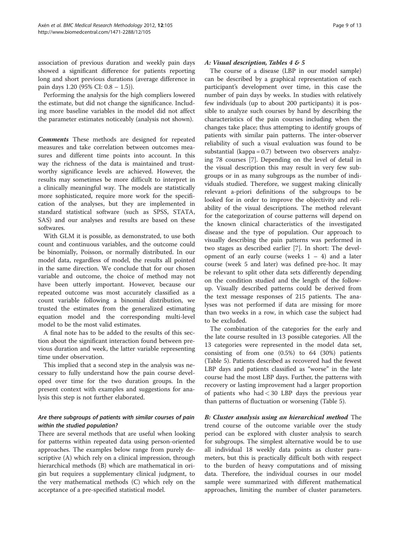association of previous duration and weekly pain days showed a significant difference for patients reporting long and short previous durations (average difference in pain days 1.20 (95% CI: 0.8 – 1.5)).

Performing the analysis for the high compliers lowered the estimate, but did not change the significance. Including more baseline variables in the model did not affect the parameter estimates noticeably (analysis not shown).

Comments These methods are designed for repeated measures and take correlation between outcomes measures and different time points into account. In this way the richness of the data is maintained and trustworthy significance levels are achieved. However, the results may sometimes be more difficult to interpret in a clinically meaningful way. The models are statistically more sophisticated, require more work for the specification of the analyses, but they are implemented in standard statistical software (such as SPSS, STATA, SAS) and our analyses and results are based on these softwares.

With GLM it is possible, as demonstrated, to use both count and continuous variables, and the outcome could be binomially, Poisson, or normally distributed. In our model data, regardless of model, the results all pointed in the same direction. We conclude that for our chosen variable and outcome, the choice of method may not have been utterly important. However, because our repeated outcome was most accurately classified as a count variable following a binomial distribution, we trusted the estimates from the generalized estimating equation model and the corresponding multi-level model to be the most valid estimates.

A final note has to be added to the results of this section about the significant interaction found between previous duration and week, the latter variable representing time under observation.

This implied that a second step in the analysis was necessary to fully understand how the pain course developed over time for the two duration groups. In the present context with examples and suggestions for analysis this step is not further elaborated.

## Are there subgroups of patients with similar courses of pain within the studied population?

There are several methods that are useful when looking for patterns within repeated data using person-oriented approaches. The examples below range from purely descriptive (A) which rely on a clinical impression, through hierarchical methods (B) which are mathematical in origin but requires a supplementary clinical judgment, to the very mathematical methods (C) which rely on the acceptance of a pre-specified statistical model.

## A: Visual description, Tables [4](#page-9-0) & [5](#page-10-0)

The course of a disease (LBP in our model sample) can be described by a graphical representation of each participant's development over time, in this case the number of pain days by weeks. In studies with relatively few individuals (up to about 200 participants) it is possible to analyze such courses by hand by describing the characteristics of the pain courses including when the changes take place; thus attempting to identify groups of patients with similar pain patterns. The inter-observer reliability of such a visual evaluation was found to be substantial (kappa = 0.7) between two observers analyzing 78 courses [[7\]](#page-11-0). Depending on the level of detail in the visual description this may result in very few subgroups or in as many subgroups as the number of individuals studied. Therefore, we suggest making clinically relevant a-priori definitions of the subgroups to be looked for in order to improve the objectivity and reliability of the visual descriptions. The method relevant for the categorization of course patterns will depend on the known clinical characteristics of the investigated disease and the type of population. Our approach to visually describing the pain patterns was performed in two stages as described earlier [[7\]](#page-11-0). In short: The development of an early course (weeks  $1 - 4$ ) and a later course (week 5 and later) was defined pre-hoc. It may be relevant to split other data sets differently depending on the condition studied and the length of the followup. Visually described patterns could be derived from the text message responses of 215 patients. The analyses was not performed if data are missing for more than two weeks in a row, in which case the subject had to be excluded.

The combination of the categories for the early and the late course resulted in 13 possible categories. All the 13 categories were represented in the model data set, consisting of from one (0.5%) to 64 (30%) patients (Table [5](#page-10-0)). Patients described as recovered had the fewest LBP days and patients classified as "worse" in the late course had the most LBP days. Further, the patterns with recovery or lasting improvement had a larger proportion of patients who had < 30 LBP days the previous year than patterns of fluctuation or worsening (Table [5](#page-10-0)).

B: Cluster analysis using an hierarchical method The trend course of the outcome variable over the study period can be explored with cluster analysis to search for subgroups. The simplest alternative would be to use all individual 18 weekly data points as cluster parameters, but this is practically difficult both with respect to the burden of heavy computations and of missing data. Therefore, the individual courses in our model sample were summarized with different mathematical approaches, limiting the number of cluster parameters.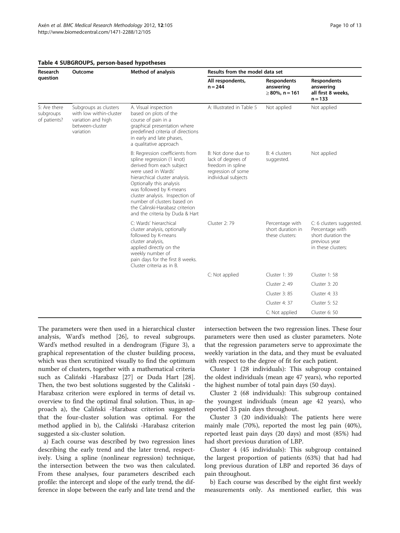| Research<br>question                      | Outcome                                                                                                | <b>Method of analysis</b>                                                                                                                                                                                                                                                                                                                          | Results from the model data set                                                                            |                                                         |                                                                                                          |  |
|-------------------------------------------|--------------------------------------------------------------------------------------------------------|----------------------------------------------------------------------------------------------------------------------------------------------------------------------------------------------------------------------------------------------------------------------------------------------------------------------------------------------------|------------------------------------------------------------------------------------------------------------|---------------------------------------------------------|----------------------------------------------------------------------------------------------------------|--|
|                                           |                                                                                                        |                                                                                                                                                                                                                                                                                                                                                    | All respondents,<br>$n = 244$                                                                              | <b>Respondents</b><br>answering<br>$\geq$ 80%, n = 161  | <b>Respondents</b><br>answering<br>all first 8 weeks,<br>$n = 133$                                       |  |
| 5: Are there<br>subgroups<br>of patients? | Subgroups as clusters<br>with low within-cluster<br>variation and high<br>between-cluster<br>variation | A. Visual inspection<br>based on plots of the<br>course of pain in a<br>graphical presentation where<br>predefined criteria of directions<br>in early and late phases,<br>a qualitative approach                                                                                                                                                   | A: Illustrated in Table 5                                                                                  | Not applied                                             | Not applied                                                                                              |  |
|                                           |                                                                                                        | B: Regression coefficients from<br>spline regression (1 knot)<br>derived from each subject<br>were used in Wards'<br>hierarchical cluster analysis.<br>Optionally this analysis<br>was followed by K-means<br>cluster analysis. Inspection of<br>number of clusters based on<br>the Calinski-Harabasz criterion<br>and the criteria by Duda & Hart | B: Not done due to<br>lack of degrees of<br>freedom in spline<br>regression of some<br>individual subjects | B: 4 clusters<br>suggested.                             | Not applied                                                                                              |  |
|                                           |                                                                                                        | C: Wards' hierarchical<br>cluster analysis, optionally<br>followed by K-means<br>cluster analysis,<br>applied directly on the<br>weekly number of<br>pain days for the first 8 weeks.<br>Cluster criteria as in B.                                                                                                                                 | Cluster 2: 79                                                                                              | Percentage with<br>short duration in<br>these clusters: | C: 6 clusters suggested.<br>Percentage with<br>short duration the<br>previous year<br>in these clusters: |  |
|                                           |                                                                                                        |                                                                                                                                                                                                                                                                                                                                                    | C: Not applied                                                                                             | Cluster 1:39                                            | Cluster 1:58                                                                                             |  |
|                                           |                                                                                                        |                                                                                                                                                                                                                                                                                                                                                    |                                                                                                            | Cluster 2: 49                                           | Cluster 3: 20                                                                                            |  |
|                                           |                                                                                                        |                                                                                                                                                                                                                                                                                                                                                    |                                                                                                            | Cluster 3:85                                            | Cluster 4: 33                                                                                            |  |
|                                           |                                                                                                        |                                                                                                                                                                                                                                                                                                                                                    |                                                                                                            | Cluster 4: 37                                           | Cluster 5: 52                                                                                            |  |
|                                           |                                                                                                        |                                                                                                                                                                                                                                                                                                                                                    |                                                                                                            | C: Not applied                                          | Cluster 6: 50                                                                                            |  |

<span id="page-9-0"></span>

|  |  |  | Table 4 SUBGROUPS, person-based hypotheses |  |
|--|--|--|--------------------------------------------|--|
|--|--|--|--------------------------------------------|--|

The parameters were then used in a hierarchical cluster analysis, Ward's method [\[26\]](#page-12-0), to reveal subgroups. Ward's method resulted in a dendrogram (Figure [3](#page-10-0)), a graphical representation of the cluster building process, which was then scrutinized visually to find the optimum number of clusters, together with a mathematical criteria such as Caliński -Harabasz [\[27](#page-12-0)] or Duda Hart [\[28](#page-12-0)]. Then, the two best solutions suggested by the Caliński - Harabasz criterion were explored in terms of detail vs. overview to find the optimal final solution. Thus, in approach a), the Caliński -Harabasz criterion suggested that the four-cluster solution was optimal. For the method applied in b), the Caliński -Harabasz criterion suggested a six-cluster solution.

a) Each course was described by two regression lines describing the early trend and the later trend, respectively. Using a spline (nonlinear regression) technique, the intersection between the two was then calculated. From these analyses, four parameters described each profile: the intercept and slope of the early trend, the difference in slope between the early and late trend and the intersection between the two regression lines. These four parameters were then used as cluster parameters. Note that the regression parameters serve to approximate the weekly variation in the data, and they must be evaluated with respect to the degree of fit for each patient.

Cluster 1 (28 individuals): This subgroup contained the oldest individuals (mean age 47 years), who reported the highest number of total pain days (50 days).

Cluster 2 (68 individuals): This subgroup contained the youngest individuals (mean age 42 years), who reported 33 pain days throughout.

Cluster 3 (20 individuals): The patients here were mainly male (70%), reported the most leg pain (40%), reported least pain days (20 days) and most (85%) had had short previous duration of LBP.

Cluster 4 (45 individuals): This subgroup contained the largest proportion of patients (63%) that had had long previous duration of LBP and reported 36 days of pain throughout.

b) Each course was described by the eight first weekly measurements only. As mentioned earlier, this was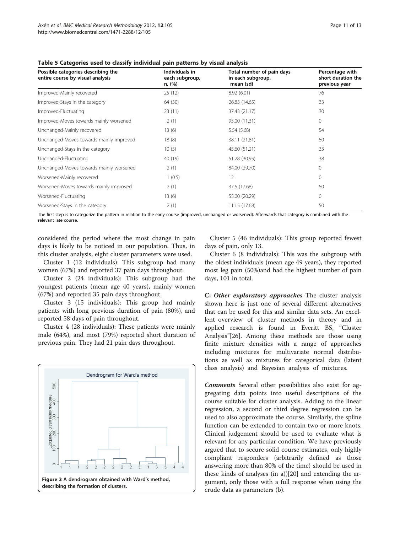| Possible categories describing the<br>entire course by visual analysis | Individuals in<br>each subgroup,<br>n, (%) | Total number of pain days<br>in each subgroup,<br>mean (sd) | Percentage with<br>short duration the<br>previous year |  |
|------------------------------------------------------------------------|--------------------------------------------|-------------------------------------------------------------|--------------------------------------------------------|--|
| Improved-Mainly recovered                                              | 25(12)                                     | 8.92(6.01)                                                  | 76                                                     |  |
| Improved-Stays in the category                                         | 64 (30)                                    | 26.83 (14.65)                                               | 33                                                     |  |
| Improved-Fluctuating                                                   | 23(11)                                     | 37.43 (21.17)                                               | 30                                                     |  |
| Improved-Moves towards mainly worsened                                 | 2(1)                                       | 95.00 (11.31)                                               | $\mathbf{0}$                                           |  |
| Unchanged-Mainly recovered                                             | 13(6)                                      | 5.54 (5.68)                                                 | 54                                                     |  |
| Unchanged-Moves towards mainly improved                                | 18(8)                                      | 38.11 (21.81)                                               | 50                                                     |  |
| Unchanged-Stays in the category                                        | 10(5)                                      | 45.60 (51.21)                                               | 33                                                     |  |
| Unchanged-Fluctuating                                                  | 40 (19)                                    | 51.28 (30.95)                                               | 38                                                     |  |
| Unchanged-Moves towards mainly worsened                                | 2(1)                                       | 84.00 (29.70)                                               | $\mathbf{0}$                                           |  |
| Worsened-Mainly recovered                                              | 1(0.5)                                     | 12                                                          | $\mathbf{0}$                                           |  |
| Worsened-Moves towards mainly improved                                 | 2(1)                                       | 37.5 (17.68)                                                | 50                                                     |  |
| Worsened-Fluctuating                                                   | 13(6)                                      | 55.00 (20.29)                                               | $\mathbf{0}$                                           |  |
| Worsened-Stays in the category                                         | 2(1)                                       | 111.5 (17.68)                                               | 50                                                     |  |

<span id="page-10-0"></span>Table 5 Categories used to classify individual pain patterns by visual analysis

The first step is to categorize the pattern in relation to the early course (improved, unchanged or worsened). Afterwards that category is combined with the relevant late course.

considered the period where the most change in pain days is likely to be noticed in our population. Thus, in this cluster analysis, eight cluster parameters were used.

Cluster 1 (12 individuals): This subgroup had many women (67%) and reported 37 pain days throughout.

Cluster 2 (24 individuals): This subgroup had the youngest patients (mean age 40 years), mainly women (67%) and reported 35 pain days throughout.

Cluster 3 (15 individuals): This group had mainly patients with long previous duration of pain (80%), and reported 58 days of pain throughout.

Cluster 4 (28 individuals): These patients were mainly male (64%), and most (79%) reported short duration of previous pain. They had 21 pain days throughout.



Cluster 5 (46 individuals): This group reported fewest days of pain, only 13.

Cluster 6 (8 individuals): This was the subgroup with the oldest individuals (mean age 49 years), they reported most leg pain (50%)and had the highest number of pain days, 101 in total.

C: Other exploratory approaches The cluster analysis shown here is just one of several different alternatives that can be used for this and similar data sets. An excellent overview of cluster methods in theory and in applied research is found in Everitt BS, "Cluster Analysis"[\[26](#page-12-0)]. Among these methods are those using finite mixture densities with a range of approaches including mixtures for multivariate normal distributions as well as mixtures for categorical data (latent class analysis) and Bayesian analysis of mixtures.

Comments Several other possibilities also exist for aggregating data points into useful descriptions of the course suitable for cluster analysis. Adding to the linear regression, a second or third degree regression can be used to also approximate the course. Similarly, the spline function can be extended to contain two or more knots. Clinical judgement should be used to evaluate what is relevant for any particular condition. We have previously argued that to secure solid course estimates, only highly compliant responders (arbitrarily defined as those answering more than 80% of the time) should be used in these kinds of analyses (in a))[[20\]](#page-12-0) and extending the argument, only those with a full response when using the crude data as parameters (b).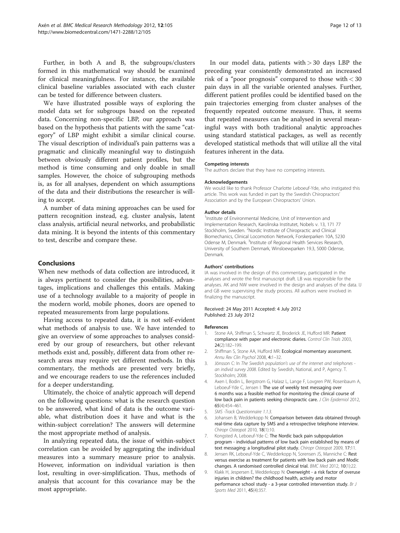<span id="page-11-0"></span>Further, in both A and B, the subgroups/clusters formed in this mathematical way should be examined for clinical meaningfulness. For instance, the available clinical baseline variables associated with each cluster can be tested for difference between clusters.

We have illustrated possible ways of exploring the model data set for subgroups based on the repeated data. Concerning non-specific LBP, our approach was based on the hypothesis that patients with the same "category" of LBP might exhibit a similar clinical course. The visual description of individual's pain patterns was a pragmatic and clinically meaningful way to distinguish between obviously different patient profiles, but the method is time consuming and only doable in small samples. However, the choice of subgrouping methods is, as for all analyses, dependent on which assumptions of the data and their distributions the researcher is willing to accept.

A number of data mining approaches can be used for pattern recognition instead, e.g. cluster analysis, latent class analysis, artificial neural networks, and probabilistic data mining. It is beyond the intents of this commentary to test, describe and compare these.

## Conclusions

When new methods of data collection are introduced, it is always pertinent to consider the possibilities, advantages, implications and challenges this entails. Making use of a technology available to a majority of people in the modern world, mobile phones, doors are opened to repeated measurements from large populations.

Having access to repeated data, it is not self-evident what methods of analysis to use. We have intended to give an overview of some approaches to analyses considered by our group of researchers, but other relevant methods exist and, possibly, different data from other research areas may require yet different methods. In this commentary, the methods are presented very briefly, and we encourage readers to use the references included for a deeper understanding.

Ultimately, the choice of analytic approach will depend on the following questions: what is the research question to be answered, what kind of data is the outcome variable, what distribution does it have and what is the within-subject correlation? The answers will determine the most appropriate method of analysis.

In analyzing repeated data, the issue of within-subject correlation can be avoided by aggregating the individual measures into a summary measure prior to analysis. However, information on individual variation is then lost, resulting in over-simplification. Thus, methods of analysis that account for this covariance may be the most appropriate.

In our model data, patients with  $>$  30 days LBP the preceding year consistently demonstrated an increased risk of a "poor prognosis" compared to those with < 30 pain days in all the variable oriented analyses. Further, different patient profiles could be identified based on the pain trajectories emerging from cluster analyses of the frequently repeated outcome measure. Thus, it seems that repeated measures can be analysed in several meaningful ways with both traditional analytic approaches using standard statistical packages, as well as recently developed statistical methods that will utilize all the vital features inherent in the data.

#### Competing interests

The authors declare that they have no competing interests.

#### Acknowledgements

We would like to thank Professor Charlotte Leboeuf-Yde, who instigated this article. This work was funded in part by the Swedish Chiropractors' Association and by the European Chiropractors' Union.

#### Author details

<sup>1</sup>Institute of Environmental Medicine, Unit of Intervention and Implementation Research, Karolinska Institutet, Nobels v. 13, 171 77 Stockholm, Sweden. <sup>2</sup>Nordic Institute of Chiropractic and Clinical Biomechanics, Clinical Locomotion Network, Forskerparken 10A, 5230 Odense M, Denmark. <sup>3</sup>Institute of Regional Health Services Research, University of Southern Denmark, Winsloewparken 19.3, 5000 Odense, Denmark.

#### Authors' contributions

IA was involved in the design of this commentary, participated in the analyses and wrote the first manuscript draft. LB was responsible for the analyses. AK and NW were involved in the design and analyses of the data. IJ and GB were supervising the study process. All authors were involved in finalizing the manuscript.

#### Received: 24 May 2011 Accepted: 4 July 2012 Published: 23 July 2012

#### References

- 1. Stone AA, Shiffman S, Schwartz JE, Broderick JE, Hufford MR: Patient compliance with paper and electronic diaries. Control Clin Trials 2003, 24(2):182–199.
- 2. Shiffman S, Stone AA, Hufford MR: Ecological momentary assessment. Annu Rev Clin Psychol 2008, 4:1–32.
- 3. Jönsson C: In The Swedish population's use of the internet and telephones an individ survey 2008. Edited by Swedish, National, and P, Agency. T. Stockholm; 2008.
- 4. Axen I, Bodin L, Bergstrom G, Halasz L, Lange F, Lovgren PW, Rosenbaum A, Leboeuf-Yde C, Jensen I: The use of weekly text messaging over 6 months was a feasible method for monitoring the clinical course of low back pain in patients seeking chiropractic care. J Clin Epidemiol 2012, 65(4):454–461.
- 5. SMS -Track Questionnaire 1.1.3.
- 6. Johansen B, Wedderkopp N: Comparison between data obtained through real-time data capture by SMS and a retrospective telephone interview. Chiropr Osteopat 2010, 18(1):10.
- 7. Kongsted A, Leboeuf-Yde C: The Nordic back pain subpopulation program - individual patterns of low back pain established by means of text messaging: a longitudinal pilot study. Chiropr Osteopat 2009, 17:11.
- 8. Jensen RK, Leboeuf-Yde C, Wedderkopp N, Sorensen JS, Manniche C: Rest versus exercise as treatment for patients with low back pain and Modic changes. A randomised controlled clinical trial. BMC Med 2012, 10(1):22.
- 9. Klakk H, Jespersen E, Wedderkopp N: Overweight a risk factor of overuse injuries in children? the childhood health, activity and motor performance school study - a 3-year controlled intervention study. Br J Sports Med 2011, 45(4):357.